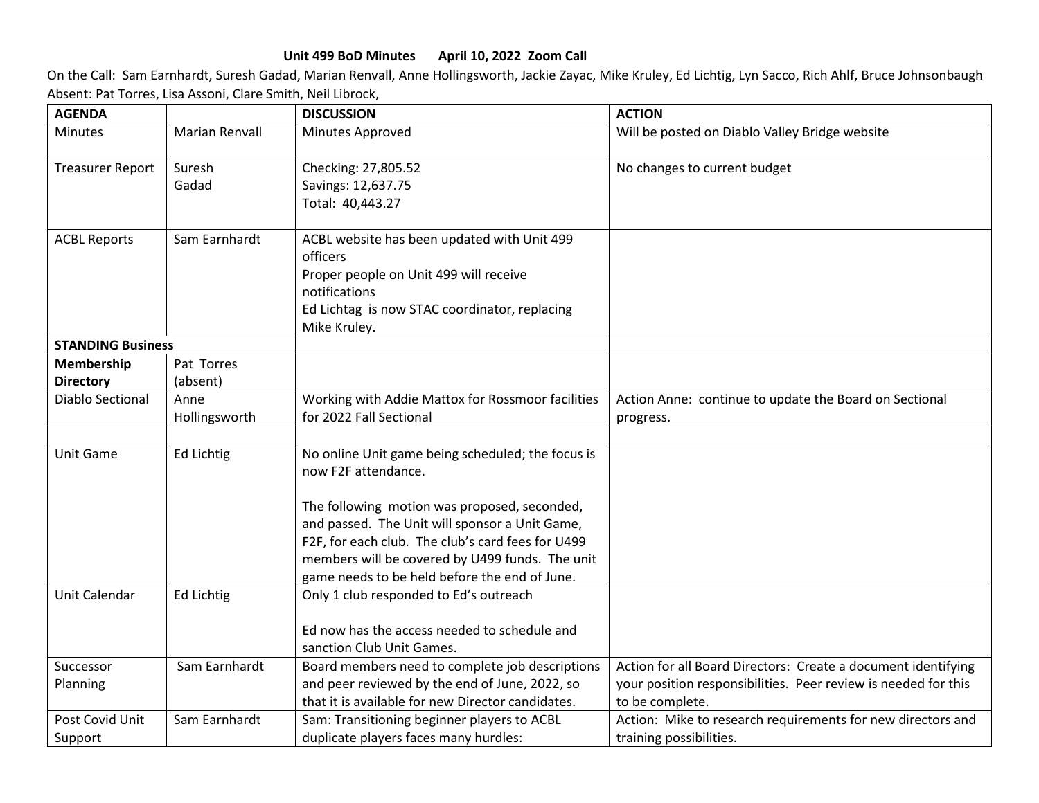## **Unit 499 BoD Minutes April 10, 2022 Zoom Call**

On the Call: Sam Earnhardt, Suresh Gadad, Marian Renvall, Anne Hollingsworth, Jackie Zayac, Mike Kruley, Ed Lichtig, Lyn Sacco, Rich Ahlf, Bruce Johnsonbaugh Absent: Pat Torres, Lisa Assoni, Clare Smith, Neil Librock,

| <b>AGENDA</b>            |                       | <b>DISCUSSION</b>                                                        | <b>ACTION</b>                                                  |
|--------------------------|-----------------------|--------------------------------------------------------------------------|----------------------------------------------------------------|
| <b>Minutes</b>           | <b>Marian Renvall</b> | Minutes Approved                                                         | Will be posted on Diablo Valley Bridge website                 |
| <b>Treasurer Report</b>  | Suresh                | Checking: 27,805.52                                                      | No changes to current budget                                   |
|                          | Gadad                 | Savings: 12,637.75                                                       |                                                                |
|                          |                       | Total: 40,443.27                                                         |                                                                |
| <b>ACBL Reports</b>      | Sam Earnhardt         | ACBL website has been updated with Unit 499                              |                                                                |
|                          |                       | officers                                                                 |                                                                |
|                          |                       | Proper people on Unit 499 will receive                                   |                                                                |
|                          |                       | notifications                                                            |                                                                |
|                          |                       | Ed Lichtag is now STAC coordinator, replacing                            |                                                                |
|                          |                       | Mike Kruley.                                                             |                                                                |
| <b>STANDING Business</b> |                       |                                                                          |                                                                |
| Membership               | Pat Torres            |                                                                          |                                                                |
| <b>Directory</b>         | (absent)              |                                                                          |                                                                |
| <b>Diablo Sectional</b>  | Anne                  | Working with Addie Mattox for Rossmoor facilities                        | Action Anne: continue to update the Board on Sectional         |
|                          | Hollingsworth         | for 2022 Fall Sectional                                                  | progress.                                                      |
|                          |                       |                                                                          |                                                                |
| Unit Game                | <b>Ed Lichtig</b>     | No online Unit game being scheduled; the focus is<br>now F2F attendance. |                                                                |
|                          |                       | The following motion was proposed, seconded,                             |                                                                |
|                          |                       | and passed. The Unit will sponsor a Unit Game,                           |                                                                |
|                          |                       | F2F, for each club. The club's card fees for U499                        |                                                                |
|                          |                       | members will be covered by U499 funds. The unit                          |                                                                |
|                          |                       | game needs to be held before the end of June.                            |                                                                |
| Unit Calendar            | <b>Ed Lichtig</b>     | Only 1 club responded to Ed's outreach                                   |                                                                |
|                          |                       | Ed now has the access needed to schedule and                             |                                                                |
|                          |                       | sanction Club Unit Games.                                                |                                                                |
| Successor                | Sam Earnhardt         | Board members need to complete job descriptions                          | Action for all Board Directors: Create a document identifying  |
| Planning                 |                       | and peer reviewed by the end of June, 2022, so                           | your position responsibilities. Peer review is needed for this |
|                          |                       | that it is available for new Director candidates.                        | to be complete.                                                |
| Post Covid Unit          | Sam Earnhardt         | Sam: Transitioning beginner players to ACBL                              | Action: Mike to research requirements for new directors and    |
| Support                  |                       | duplicate players faces many hurdles:                                    | training possibilities.                                        |